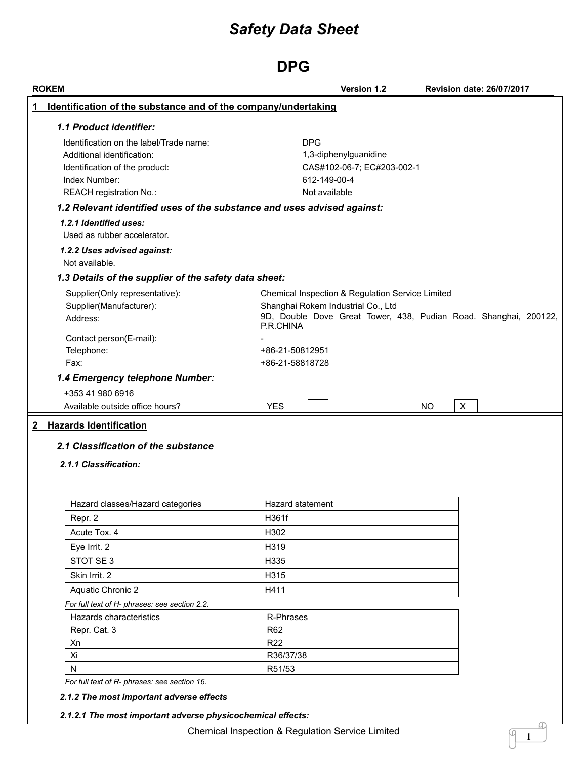## **DPG**

| Identification of the substance and of the company/undertaking          |                     |                                                                  |     |              |  |
|-------------------------------------------------------------------------|---------------------|------------------------------------------------------------------|-----|--------------|--|
|                                                                         |                     |                                                                  |     |              |  |
| 1.1 Product identifier:                                                 |                     |                                                                  |     |              |  |
| Identification on the label/Trade name:                                 |                     | <b>DPG</b>                                                       |     |              |  |
| Additional identification:                                              |                     | 1,3-diphenylguanidine                                            |     |              |  |
| Identification of the product:                                          |                     | CAS#102-06-7; EC#203-002-1                                       |     |              |  |
| Index Number:<br>REACH registration No.:                                |                     | 612-149-00-4<br>Not available                                    |     |              |  |
| 1.2 Relevant identified uses of the substance and uses advised against: |                     |                                                                  |     |              |  |
| 1.2.1 Identified uses:                                                  |                     |                                                                  |     |              |  |
| Used as rubber accelerator.                                             |                     |                                                                  |     |              |  |
| 1.2.2 Uses advised against:                                             |                     |                                                                  |     |              |  |
| Not available.                                                          |                     |                                                                  |     |              |  |
| 1.3 Details of the supplier of the safety data sheet:                   |                     |                                                                  |     |              |  |
| Supplier(Only representative):                                          |                     | Chemical Inspection & Regulation Service Limited                 |     |              |  |
| Supplier(Manufacturer):                                                 |                     | Shanghai Rokem Industrial Co., Ltd                               |     |              |  |
| Address:                                                                |                     | 9D, Double Dove Great Tower, 438, Pudian Road. Shanghai, 200122, |     |              |  |
|                                                                         | P.R.CHINA           |                                                                  |     |              |  |
| Contact person(E-mail):<br>Telephone:                                   | +86-21-50812951     |                                                                  |     |              |  |
| Fax:                                                                    | +86-21-58818728     |                                                                  |     |              |  |
|                                                                         |                     |                                                                  |     |              |  |
|                                                                         |                     |                                                                  |     |              |  |
| 1.4 Emergency telephone Number:                                         |                     |                                                                  |     |              |  |
| +353 41 980 6916                                                        |                     |                                                                  |     |              |  |
| Available outside office hours?<br>2 Hazards Identification             | <b>YES</b>          |                                                                  | NO. | $\mathsf{X}$ |  |
| 2.1 Classification of the substance<br>2.1.1 Classification:            |                     |                                                                  |     |              |  |
| Hazard classes/Hazard categories                                        | Hazard statement    |                                                                  |     |              |  |
| Repr. 2                                                                 | H361f               |                                                                  |     |              |  |
| Acute Tox. 4                                                            | H302                |                                                                  |     |              |  |
| Eye Irrit. 2                                                            | H319                |                                                                  |     |              |  |
| STOT SE 3                                                               | H335                |                                                                  |     |              |  |
| Skin Irrit. 2                                                           | H315                |                                                                  |     |              |  |
| Aquatic Chronic 2                                                       | H411                |                                                                  |     |              |  |
| For full text of H- phrases: see section 2.2.                           |                     |                                                                  |     |              |  |
| Hazards characteristics                                                 | R-Phrases           |                                                                  |     |              |  |
| Repr. Cat. 3                                                            | <b>R62</b>          |                                                                  |     |              |  |
| Xn                                                                      | <b>R22</b>          |                                                                  |     |              |  |
| Xi                                                                      | R36/37/38<br>R51/53 |                                                                  |     |              |  |

**1**

I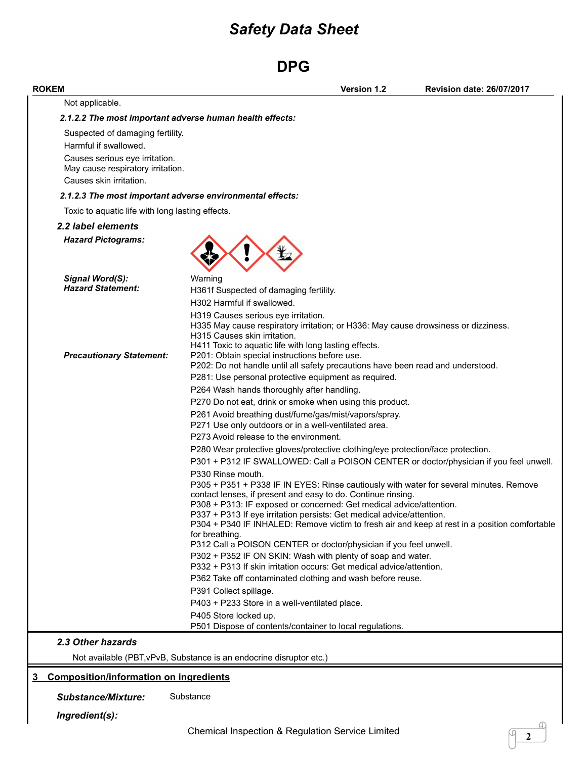# **DPG**

| <b>ROKEM</b>                                     | <b>Version 1.2</b><br><b>Revision date: 26/07/2017</b>                                                                                                                                                                                                                                                                                                                                                                                                                                                                                                                                                                                                     |
|--------------------------------------------------|------------------------------------------------------------------------------------------------------------------------------------------------------------------------------------------------------------------------------------------------------------------------------------------------------------------------------------------------------------------------------------------------------------------------------------------------------------------------------------------------------------------------------------------------------------------------------------------------------------------------------------------------------------|
| Not applicable.                                  |                                                                                                                                                                                                                                                                                                                                                                                                                                                                                                                                                                                                                                                            |
|                                                  | 2.1.2.2 The most important adverse human health effects:                                                                                                                                                                                                                                                                                                                                                                                                                                                                                                                                                                                                   |
| Suspected of damaging fertility.                 |                                                                                                                                                                                                                                                                                                                                                                                                                                                                                                                                                                                                                                                            |
| Harmful if swallowed.                            |                                                                                                                                                                                                                                                                                                                                                                                                                                                                                                                                                                                                                                                            |
| Causes serious eye irritation.                   |                                                                                                                                                                                                                                                                                                                                                                                                                                                                                                                                                                                                                                                            |
| May cause respiratory irritation.                |                                                                                                                                                                                                                                                                                                                                                                                                                                                                                                                                                                                                                                                            |
| Causes skin irritation.                          |                                                                                                                                                                                                                                                                                                                                                                                                                                                                                                                                                                                                                                                            |
|                                                  | 2.1.2.3 The most important adverse environmental effects:                                                                                                                                                                                                                                                                                                                                                                                                                                                                                                                                                                                                  |
| Toxic to aquatic life with long lasting effects. |                                                                                                                                                                                                                                                                                                                                                                                                                                                                                                                                                                                                                                                            |
| 2.2 label elements                               |                                                                                                                                                                                                                                                                                                                                                                                                                                                                                                                                                                                                                                                            |
| <b>Hazard Pictograms:</b>                        |                                                                                                                                                                                                                                                                                                                                                                                                                                                                                                                                                                                                                                                            |
| Signal Word(S):                                  | Warning                                                                                                                                                                                                                                                                                                                                                                                                                                                                                                                                                                                                                                                    |
| <b>Hazard Statement:</b>                         | H361f Suspected of damaging fertility.                                                                                                                                                                                                                                                                                                                                                                                                                                                                                                                                                                                                                     |
|                                                  | H302 Harmful if swallowed.                                                                                                                                                                                                                                                                                                                                                                                                                                                                                                                                                                                                                                 |
| <b>Precautionary Statement:</b>                  | H319 Causes serious eye irritation.<br>H335 May cause respiratory irritation; or H336: May cause drowsiness or dizziness.<br>H315 Causes skin irritation.<br>H411 Toxic to aquatic life with long lasting effects.<br>P201: Obtain special instructions before use.<br>P202: Do not handle until all safety precautions have been read and understood.                                                                                                                                                                                                                                                                                                     |
|                                                  | P281: Use personal protective equipment as required.                                                                                                                                                                                                                                                                                                                                                                                                                                                                                                                                                                                                       |
|                                                  | P264 Wash hands thoroughly after handling.                                                                                                                                                                                                                                                                                                                                                                                                                                                                                                                                                                                                                 |
|                                                  | P270 Do not eat, drink or smoke when using this product.                                                                                                                                                                                                                                                                                                                                                                                                                                                                                                                                                                                                   |
|                                                  | P261 Avoid breathing dust/fume/gas/mist/vapors/spray.<br>P271 Use only outdoors or in a well-ventilated area.                                                                                                                                                                                                                                                                                                                                                                                                                                                                                                                                              |
|                                                  | P273 Avoid release to the environment.                                                                                                                                                                                                                                                                                                                                                                                                                                                                                                                                                                                                                     |
|                                                  | P280 Wear protective gloves/protective clothing/eye protection/face protection.                                                                                                                                                                                                                                                                                                                                                                                                                                                                                                                                                                            |
|                                                  | P301 + P312 IF SWALLOWED: Call a POISON CENTER or doctor/physician if you feel unwell.                                                                                                                                                                                                                                                                                                                                                                                                                                                                                                                                                                     |
|                                                  | P330 Rinse mouth.<br>P305 + P351 + P338 IF IN EYES: Rinse cautiously with water for several minutes. Remove<br>contact lenses, if present and easy to do. Continue rinsing.<br>P308 + P313: IF exposed or concerned: Get medical advice/attention.<br>P337 + P313 If eye irritation persists: Get medical advice/attention.<br>P304 + P340 IF INHALED: Remove victim to fresh air and keep at rest in a position comfortable<br>for breathing.<br>P312 Call a POISON CENTER or doctor/physician if you feel unwell.<br>P302 + P352 IF ON SKIN: Wash with plenty of soap and water.<br>P332 + P313 If skin irritation occurs: Get medical advice/attention. |
|                                                  | P362 Take off contaminated clothing and wash before reuse.                                                                                                                                                                                                                                                                                                                                                                                                                                                                                                                                                                                                 |
|                                                  | P391 Collect spillage.                                                                                                                                                                                                                                                                                                                                                                                                                                                                                                                                                                                                                                     |
|                                                  | P403 + P233 Store in a well-ventilated place.                                                                                                                                                                                                                                                                                                                                                                                                                                                                                                                                                                                                              |
|                                                  | P405 Store locked up.                                                                                                                                                                                                                                                                                                                                                                                                                                                                                                                                                                                                                                      |
|                                                  | P501 Dispose of contents/container to local regulations.                                                                                                                                                                                                                                                                                                                                                                                                                                                                                                                                                                                                   |
| 2.3 Other hazards                                |                                                                                                                                                                                                                                                                                                                                                                                                                                                                                                                                                                                                                                                            |
|                                                  | Not available (PBT, vPvB, Substance is an endocrine disruptor etc.)                                                                                                                                                                                                                                                                                                                                                                                                                                                                                                                                                                                        |
| <b>Composition/information on ingredients</b>    |                                                                                                                                                                                                                                                                                                                                                                                                                                                                                                                                                                                                                                                            |
| <b>Substance/Mixture:</b>                        | Substance                                                                                                                                                                                                                                                                                                                                                                                                                                                                                                                                                                                                                                                  |
|                                                  |                                                                                                                                                                                                                                                                                                                                                                                                                                                                                                                                                                                                                                                            |
| Ingredient(s):                                   | A)                                                                                                                                                                                                                                                                                                                                                                                                                                                                                                                                                                                                                                                         |
|                                                  | Chemical Inspection & Regulation Service Limited<br>2                                                                                                                                                                                                                                                                                                                                                                                                                                                                                                                                                                                                      |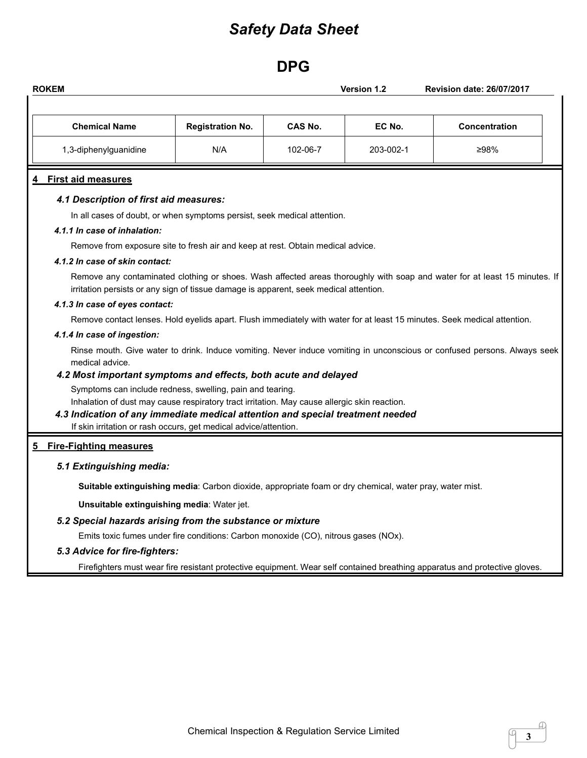## **DPG**

| <b>Chemical Name</b>                                                                                                       | <b>Registration No.</b>                                                                                                                                   | CAS No.  | EC No.    | <b>Concentration</b>                                                                                                      |
|----------------------------------------------------------------------------------------------------------------------------|-----------------------------------------------------------------------------------------------------------------------------------------------------------|----------|-----------|---------------------------------------------------------------------------------------------------------------------------|
| 1,3-diphenylguanidine                                                                                                      | N/A                                                                                                                                                       | 102-06-7 | 203-002-1 | ≥98%                                                                                                                      |
| <b>First aid measures</b>                                                                                                  |                                                                                                                                                           |          |           |                                                                                                                           |
| 4.1 Description of first aid measures:                                                                                     |                                                                                                                                                           |          |           |                                                                                                                           |
|                                                                                                                            | In all cases of doubt, or when symptoms persist, seek medical attention.                                                                                  |          |           |                                                                                                                           |
| 4.1.1 In case of inhalation:                                                                                               |                                                                                                                                                           |          |           |                                                                                                                           |
|                                                                                                                            | Remove from exposure site to fresh air and keep at rest. Obtain medical advice.                                                                           |          |           |                                                                                                                           |
| 4.1.2 In case of skin contact:                                                                                             |                                                                                                                                                           |          |           |                                                                                                                           |
|                                                                                                                            | irritation persists or any sign of tissue damage is apparent, seek medical attention.                                                                     |          |           | Remove any contaminated clothing or shoes. Wash affected areas thoroughly with soap and water for at least 15 minutes. If |
| 4.1.3 In case of eyes contact:                                                                                             |                                                                                                                                                           |          |           |                                                                                                                           |
|                                                                                                                            | Remove contact lenses. Hold eyelids apart. Flush immediately with water for at least 15 minutes. Seek medical attention.                                  |          |           |                                                                                                                           |
| 4.1.4 In case of ingestion:                                                                                                |                                                                                                                                                           |          |           |                                                                                                                           |
|                                                                                                                            |                                                                                                                                                           |          |           | Rinse mouth. Give water to drink. Induce vomiting. Never induce vomiting in unconscious or confused persons. Always seek  |
| medical advice.                                                                                                            |                                                                                                                                                           |          |           |                                                                                                                           |
| 4.2 Most important symptoms and effects, both acute and delayed                                                            |                                                                                                                                                           |          |           |                                                                                                                           |
|                                                                                                                            | Symptoms can include redness, swelling, pain and tearing.<br>Inhalation of dust may cause respiratory tract irritation. May cause allergic skin reaction. |          |           |                                                                                                                           |
| 4.3 Indication of any immediate medical attention and special treatment needed                                             |                                                                                                                                                           |          |           |                                                                                                                           |
|                                                                                                                            | If skin irritation or rash occurs, get medical advice/attention.                                                                                          |          |           |                                                                                                                           |
| <b>Fire-Fighting measures</b>                                                                                              |                                                                                                                                                           |          |           |                                                                                                                           |
| 5.1 Extinguishing media:                                                                                                   |                                                                                                                                                           |          |           |                                                                                                                           |
|                                                                                                                            | Suitable extinguishing media: Carbon dioxide, appropriate foam or dry chemical, water pray, water mist.                                                   |          |           |                                                                                                                           |
| Unsuitable extinguishing media: Water jet.                                                                                 |                                                                                                                                                           |          |           |                                                                                                                           |
| 5.2 Special hazards arising from the substance or mixture                                                                  |                                                                                                                                                           |          |           |                                                                                                                           |
|                                                                                                                            | Emits toxic fumes under fire conditions: Carbon monoxide (CO), nitrous gases (NOx).                                                                       |          |           |                                                                                                                           |
| 5.3 Advice for fire-fighters:                                                                                              |                                                                                                                                                           |          |           |                                                                                                                           |
| Firefighters must wear fire resistant protective equipment. Wear self contained breathing apparatus and protective gloves. |                                                                                                                                                           |          |           |                                                                                                                           |

**3**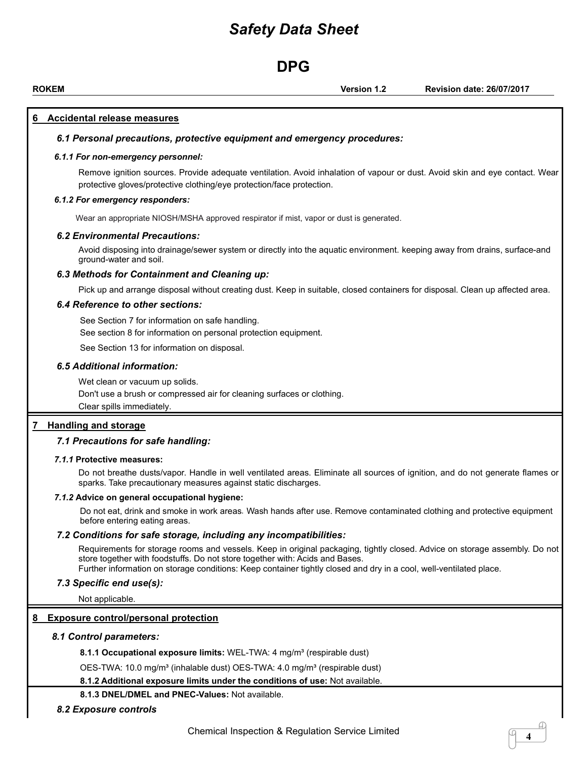### **DPG**

**ROKEM Version 1.2 Revision date: 26/07/2017**

**4**

#### **6 Accidental release measures**

#### *6.1 Personal precautions, protective equipment and emergency procedures:*

#### *6.1.1 For non-emergency personnel:*

Remove ignition sources. Provide adequate ventilation. Avoid inhalation of vapour or dust. Avoid skin and eye contact. Wear protective gloves/protective clothing/eye protection/face protection.

#### *6.1.2 For emergency responders:*

Wear an appropriate NIOSH/MSHA approved respirator if mist, vapor or dust is generated.

#### *6.2 Environmental Precautions:*

Avoid disposing into drainage/sewer system or directly into the aquatic environment. keeping away from drains, surface-and ground-water and soil.

#### *6.3 Methods for Containment and Cleaning up:*

Pick up and arrange disposal without creating dust. Keep in suitable, closed containers for disposal. Clean up affected area.

#### *6.4 Reference to other sections:*

See Section 7 for information on safe handling.

See section 8 for information on personal protection equipment.

See Section 13 for information on disposal.

#### *6.5 Additional information:*

Wet clean or vacuum up solids.

Don't use a brush or compressed air for cleaning surfaces or clothing.

Clear spills immediately.

#### **7 Handling and storage**

#### *7.1 Precautions for safe handling:*

#### *7.1.1* **Protective measures:**

Do not breathe dusts/vapor. Handle in well ventilated areas. Eliminate all sources of ignition, and do not generate flames or sparks. Take precautionary measures against static discharges.

#### *7.1.2* **Advice on generaloccupational hygiene:**

Do not eat, drink and smoke in work areas. Wash hands after use. Remove contaminated clothing and protective equipment before entering eating areas.

#### *7.2 Conditions for safe storage, including any incompatibilities:*

Requirements for storage rooms and vessels. Keep in original packaging, tightly closed. Advice on storage assembly. Do not store together with foodstuffs. Do not store together with: Acids and Bases.

Further information on storage conditions: Keep container tightly closed and dry in a cool,well-ventilated place.

#### *7.3 Specific end use(s):*

Not applicable.

#### **8 Exposure control/personal protection**

#### *8.1 Control parameters:*

**8.1.1 Occupational exposure limits:** WEL-TWA: 4 mg/m³ (respirable dust)

OES-TWA: 10.0 mg/m<sup>3</sup> (inhalable dust) OES-TWA: 4.0 mg/m<sup>3</sup> (respirable dust)

**8.1.2 Additional exposure limits under the conditions of use:** Not available.

#### **8.1.3 DNEL/DMEL and PNEC-Values:** Not available.

*8.2 Exposure controls*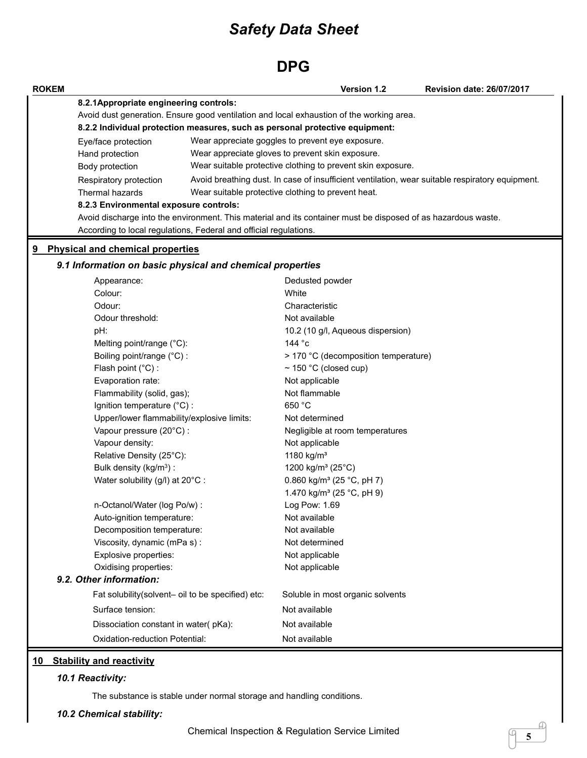### **DPG**

| <b>ROKEM</b> |                                                                   | Version 1.2                                                                                                   | <b>Revision date: 26/07/2017</b> |
|--------------|-------------------------------------------------------------------|---------------------------------------------------------------------------------------------------------------|----------------------------------|
|              | 8.2.1Appropriate engineering controls:                            |                                                                                                               |                                  |
|              |                                                                   | Avoid dust generation. Ensure good ventilation and local exhaustion of the working area.                      |                                  |
|              |                                                                   | 8.2.2 Individual protection measures, such as personal protective equipment:                                  |                                  |
|              | Eye/face protection                                               | Wear appreciate goggles to prevent eye exposure.                                                              |                                  |
|              | Hand protection                                                   | Wear appreciate gloves to prevent skin exposure.                                                              |                                  |
|              | Body protection                                                   | Wear suitable protective clothing to prevent skin exposure.                                                   |                                  |
|              | Respiratory protection                                            | Avoid breathing dust. In case of insufficient ventilation, wear suitable respiratory equipment.               |                                  |
|              | Thermal hazards                                                   | Wear suitable protective clothing to prevent heat.                                                            |                                  |
|              | 8.2.3 Environmental exposure controls:                            |                                                                                                               |                                  |
|              |                                                                   | Avoid discharge into the environment. This material and its container must be disposed of as hazardous waste. |                                  |
|              | According to local regulations, Federal and official regulations. |                                                                                                               |                                  |
|              | 9 Physical and chemical properties                                |                                                                                                               |                                  |
|              | 9.1 Information on basic physical and chemical properties         |                                                                                                               |                                  |
|              | Appearance:                                                       | Dedusted powder                                                                                               |                                  |
|              | Colour:                                                           | White                                                                                                         |                                  |
|              | Odour:                                                            | Characteristic                                                                                                |                                  |
|              | Odour threshold:                                                  | Not available                                                                                                 |                                  |
|              | pH:                                                               | 10.2 (10 g/l, Aqueous dispersion)                                                                             |                                  |
|              | Melting point/range (°C):                                         | 144 °c                                                                                                        |                                  |
|              | Boiling point/range (°C) :                                        | > 170 °C (decomposition temperature)                                                                          |                                  |
|              | Flash point (°C) :                                                | $\sim$ 150 °C (closed cup)                                                                                    |                                  |
|              | Evaporation rate:                                                 | Not applicable                                                                                                |                                  |
|              | Flammability (solid, gas);                                        | Not flammable                                                                                                 |                                  |
|              | Ignition temperature (°C) :                                       | 650 °C                                                                                                        |                                  |
|              | Upper/lower flammability/explosive limits:                        | Not determined                                                                                                |                                  |
|              | Vapour pressure (20°C) :                                          | Negligible at room temperatures                                                                               |                                  |
|              | Vapour density:                                                   | Not applicable                                                                                                |                                  |
|              | Relative Density (25°C):                                          | 1180 kg/m <sup>3</sup>                                                                                        |                                  |
|              | Bulk density (kg/m <sup>3</sup> ) :                               | 1200 kg/m <sup>3</sup> (25°C)                                                                                 |                                  |
|              | Water solubility (g/l) at 20°C :                                  | 0.860 kg/m <sup>3</sup> (25 °C, pH 7)                                                                         |                                  |
|              |                                                                   | 1.470 kg/m <sup>3</sup> (25 °C, pH 9)                                                                         |                                  |
|              | n-Octanol/Water (log Po/w) :                                      | Log Pow: 1.69                                                                                                 |                                  |
|              | Auto-ignition temperature:                                        | Not available                                                                                                 |                                  |
|              | Decomposition temperature:                                        | Not available                                                                                                 |                                  |
|              | Viscosity, dynamic (mPa s):                                       | Not determined                                                                                                |                                  |
|              | Explosive properties:                                             | Not applicable                                                                                                |                                  |
|              | Oxidising properties:<br>9.2. Other information:                  | Not applicable                                                                                                |                                  |
|              | Fat solubility(solvent- oil to be specified) etc:                 | Soluble in most organic solvents                                                                              |                                  |
|              | Surface tension:                                                  | Not available                                                                                                 |                                  |
|              | Dissociation constant in water(pKa):                              | Not available                                                                                                 |                                  |
|              | Oxidation-reduction Potential:                                    | Not available                                                                                                 |                                  |

### **10 Stability and reactivity**

### *10.1 Reactivity:*

The substance is stable under normal storage and handling conditions.

### *10.2 Chemical stability:*

a **5**

P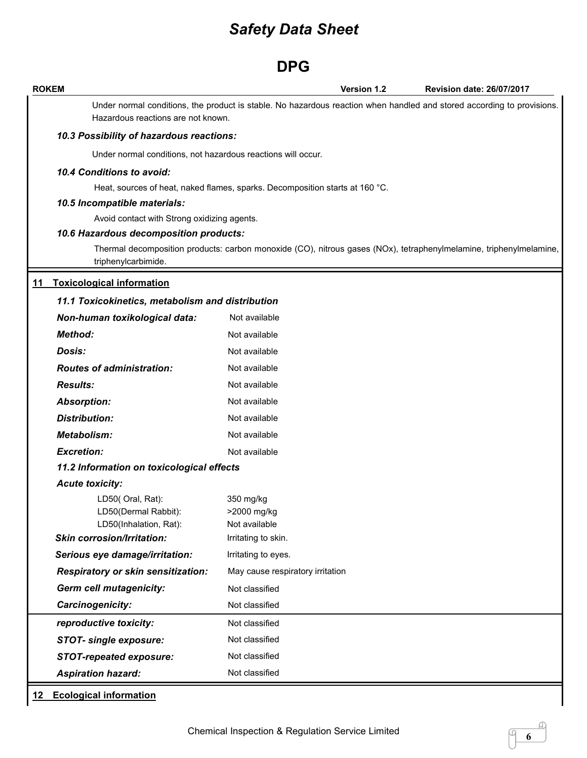### **DPG**

| <b>ROKEM</b>                                                       | Version 1.2<br><b>Revision date: 26/07/2017</b>                                                                        |
|--------------------------------------------------------------------|------------------------------------------------------------------------------------------------------------------------|
| Hazardous reactions are not known.                                 | Under normal conditions, the product is stable. No hazardous reaction when handled and stored according to provisions. |
| 10.3 Possibility of hazardous reactions:                           |                                                                                                                        |
| Under normal conditions, not hazardous reactions will occur.       |                                                                                                                        |
| 10.4 Conditions to avoid:                                          |                                                                                                                        |
|                                                                    | Heat, sources of heat, naked flames, sparks. Decomposition starts at 160 °C.                                           |
| 10.5 Incompatible materials:                                       |                                                                                                                        |
| Avoid contact with Strong oxidizing agents.                        |                                                                                                                        |
| 10.6 Hazardous decomposition products:                             |                                                                                                                        |
| triphenylcarbimide.                                                | Thermal decomposition products: carbon monoxide (CO), nitrous gases (NOx), tetraphenylmelamine, triphenylmelamine,     |
| 11 Toxicological information                                       |                                                                                                                        |
| 11.1 Toxicokinetics, metabolism and distribution                   |                                                                                                                        |
| Non-human toxikological data:                                      | Not available                                                                                                          |
| <b>Method:</b>                                                     | Not available                                                                                                          |
| Dosis:                                                             | Not available                                                                                                          |
| <b>Routes of administration:</b>                                   | Not available                                                                                                          |
| <b>Results:</b>                                                    | Not available                                                                                                          |
| <b>Absorption:</b>                                                 | Not available                                                                                                          |
| <b>Distribution:</b>                                               | Not available                                                                                                          |
| <b>Metabolism:</b>                                                 | Not available                                                                                                          |
| <b>Excretion:</b>                                                  | Not available                                                                                                          |
| 11.2 Information on toxicological effects                          |                                                                                                                        |
| <b>Acute toxicity:</b>                                             |                                                                                                                        |
| LD50(Oral, Rat):<br>LD50(Dermal Rabbit):<br>LD50(Inhalation, Rat): | 350 mg/kg<br>>2000 mg/kg<br>Not available                                                                              |
| <b>Skin corrosion/Irritation:</b>                                  | Irritating to skin.                                                                                                    |
| Serious eye damage/irritation:                                     | Irritating to eyes.                                                                                                    |
| Respiratory or skin sensitization:                                 | May cause respiratory irritation                                                                                       |
| <b>Germ cell mutagenicity:</b>                                     | Not classified                                                                                                         |
| Carcinogenicity:                                                   | Not classified                                                                                                         |
| reproductive toxicity:                                             | Not classified                                                                                                         |
| <b>STOT- single exposure:</b>                                      | Not classified                                                                                                         |
| <b>STOT-repeated exposure:</b>                                     | Not classified                                                                                                         |
| <b>Aspiration hazard:</b>                                          | Not classified                                                                                                         |

**6**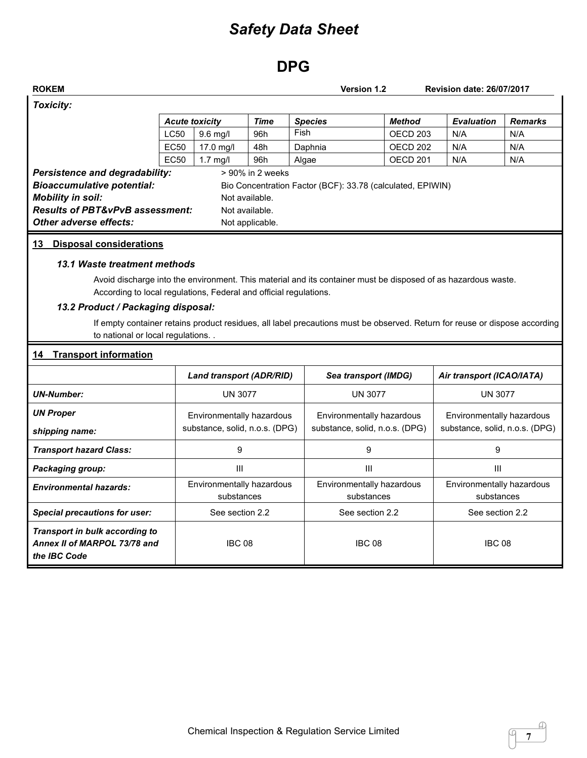## **DPG**

|                                                                                                                                                                                                                                                                                                                |                       |                                                             |                                                     | <b>Version 1.2</b>                                                                                                                                                                                                                                                                                        |                                                             | <b>Revision date: 26/07/2017</b>                            |                |
|----------------------------------------------------------------------------------------------------------------------------------------------------------------------------------------------------------------------------------------------------------------------------------------------------------------|-----------------------|-------------------------------------------------------------|-----------------------------------------------------|-----------------------------------------------------------------------------------------------------------------------------------------------------------------------------------------------------------------------------------------------------------------------------------------------------------|-------------------------------------------------------------|-------------------------------------------------------------|----------------|
| <b>Toxicity:</b>                                                                                                                                                                                                                                                                                               |                       |                                                             |                                                     |                                                                                                                                                                                                                                                                                                           |                                                             |                                                             |                |
|                                                                                                                                                                                                                                                                                                                | <b>Acute toxicity</b> |                                                             | <b>Time</b>                                         | <b>Species</b>                                                                                                                                                                                                                                                                                            | <b>Method</b>                                               | <b>Evaluation</b>                                           | <b>Remarks</b> |
|                                                                                                                                                                                                                                                                                                                | <b>LC50</b>           | 9.6 mg/l                                                    | 96h                                                 | Fish                                                                                                                                                                                                                                                                                                      | OECD <sub>203</sub>                                         | N/A                                                         | N/A            |
|                                                                                                                                                                                                                                                                                                                | <b>EC50</b>           | 17.0 mg/l                                                   | 48h                                                 | Daphnia                                                                                                                                                                                                                                                                                                   | OECD <sub>202</sub>                                         | N/A                                                         | N/A            |
|                                                                                                                                                                                                                                                                                                                | <b>EC50</b>           | $1.7$ mg/l                                                  | 96h                                                 | Algae                                                                                                                                                                                                                                                                                                     | OECD <sub>201</sub>                                         | N/A                                                         | N/A            |
| <b>Bioaccumulative potential:</b><br><b>Mobility in soil:</b><br><b>Results of PBT&amp;vPvB assessment:</b><br>Other adverse effects:<br>13 Disposal considerations<br>13.1 Waste treatment methods<br>According to local regulations, Federal and official regulations.<br>13.2 Product / Packaging disposal: |                       |                                                             | Not available.<br>Not available.<br>Not applicable. | Bio Concentration Factor (BCF): 33.78 (calculated, EPIWIN)<br>Avoid discharge into the environment. This material and its container must be disposed of as hazardous waste.<br>If empty container retains product residues, all label precautions must be observed. Return for reuse or dispose according |                                                             |                                                             |                |
|                                                                                                                                                                                                                                                                                                                |                       |                                                             |                                                     |                                                                                                                                                                                                                                                                                                           |                                                             |                                                             |                |
| to national or local regulations.<br><b>Transport information</b><br>14                                                                                                                                                                                                                                        |                       |                                                             |                                                     |                                                                                                                                                                                                                                                                                                           |                                                             |                                                             |                |
|                                                                                                                                                                                                                                                                                                                |                       | <b>Land transport (ADR/RID)</b>                             |                                                     |                                                                                                                                                                                                                                                                                                           | Sea transport (IMDG)                                        | Air transport (ICAO/IATA)                                   |                |
| <b>UN-Number:</b>                                                                                                                                                                                                                                                                                              |                       | <b>UN 3077</b>                                              |                                                     |                                                                                                                                                                                                                                                                                                           | <b>UN 3077</b>                                              | <b>UN 3077</b>                                              |                |
| <b>UN Proper</b><br>shipping name:                                                                                                                                                                                                                                                                             |                       | Environmentally hazardous<br>substance, solid, n.o.s. (DPG) |                                                     |                                                                                                                                                                                                                                                                                                           | Environmentally hazardous<br>substance, solid, n.o.s. (DPG) | Environmentally hazardous<br>substance, solid, n.o.s. (DPG) |                |
| <b>Transport hazard Class:</b>                                                                                                                                                                                                                                                                                 |                       | 9                                                           |                                                     |                                                                                                                                                                                                                                                                                                           | 9                                                           | 9                                                           |                |
|                                                                                                                                                                                                                                                                                                                |                       | III                                                         |                                                     |                                                                                                                                                                                                                                                                                                           | Ш                                                           | Ш                                                           |                |
| Packaging group:<br><b>Environmental hazards:</b>                                                                                                                                                                                                                                                              |                       | Environmentally hazardous<br>substances                     |                                                     |                                                                                                                                                                                                                                                                                                           | Environmentally hazardous<br>substances                     | Environmentally hazardous<br>substances                     |                |
| <b>Special precautions for user:</b>                                                                                                                                                                                                                                                                           |                       | See section 2.2                                             |                                                     |                                                                                                                                                                                                                                                                                                           | See section 2.2                                             | See section 2.2                                             |                |

 $\sqrt{7}$ 

 $\mathcal{Q}$